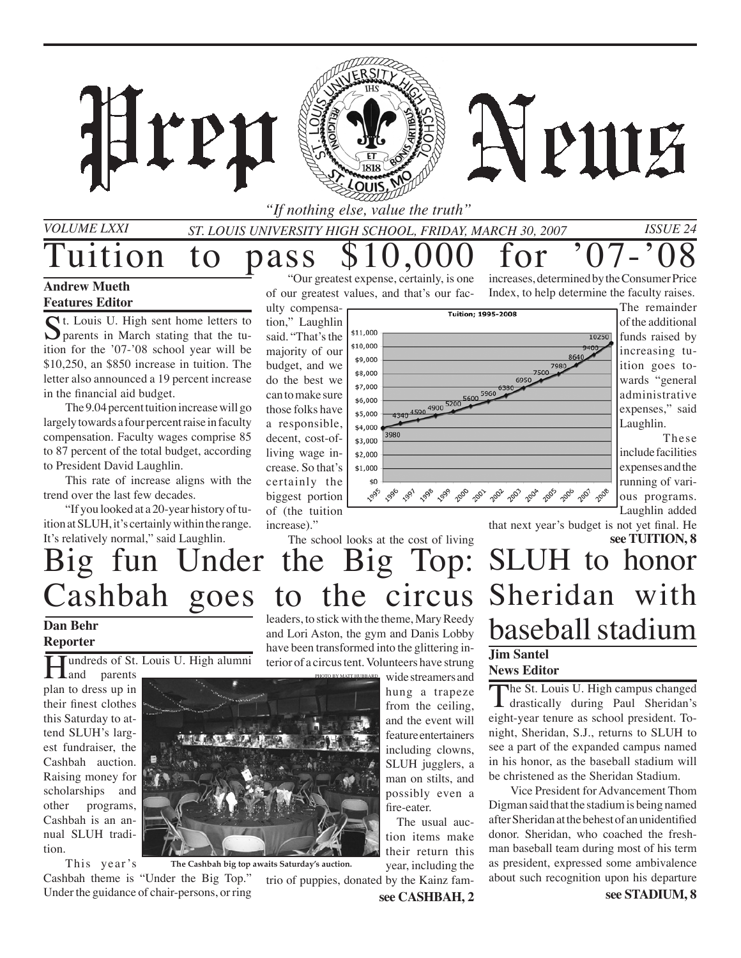

## **Andrew Mueth Features Editor**

 $\sum$  t. Louis U. High sent home letters to parents in March stating that the tuition for the '07-'08 school year will be \$10,250, an \$850 increase in tuition. The letter also announced a 19 percent increase in the financial aid budget.

The 9.04 percent tuition increase will go largely towards a four percent raise in faculty compensation. Faculty wages comprise 85 to 87 percent of the total budget, according to President David Laughlin.

This rate of increase aligns with the trend over the last few decades.

"If you looked at a 20-year history of tuition at SLUH, it's certainly within the range. It's relatively normal," said Laughlin.

"Our greatest expense, certainly, is one of our greatest values, and that's our faculty compensa-

tion," Laughlin said. "That's the majority of our budget, and we do the best we can to make sure those folks have a responsible, decent, cost-ofliving wage increase. So that's certainly the biggest portion of (the tuition increase)."

increases, determined by the Consumer Price Index, to help determine the faculty raises.



The remainder of the additional funds raised by increasing tuition goes towards "general administrative expenses," said Laughlin.

These include facilities expenses and the running of various programs. Laughlin added

that next year's budget is not yet final. He

# **see TUITION, 8** SLUH to honor Sheridan with baseball stadium **Jim Santel**

## **News Editor**

The St. Louis U. High campus changed drastically during Paul Sheridan's eight-year tenure as school president. Tonight, Sheridan, S.J., returns to SLUH to see a part of the expanded campus named in his honor, as the baseball stadium will be christened as the Sheridan Stadium.

Vice President for Advancement Thom Digman said that the stadium is being named after Sheridan at the behest of an unidentified donor. Sheridan, who coached the freshman baseball team during most of his term as president, expressed some ambivalence about such recognition upon his departure

# The school looks at the cost of living Big fun Under the Big Top: Cashbah goes to the circus

## **Dan Behr Reporter**

undreds of St. Louis U. High alumni

**T** and parents plan to dress up in their finest clothes this Saturday to attend SLUH's largest fundraiser, the Cashbah auction. Raising money for scholarships and other programs, Cashbah is an annual SLUH tradition.

This year 's Cashbah theme is "Under the Big Top." Under the guidance of chair-persons, or ring **The Cashbah big top awaits Saturday's auction.**

leaders, to stick with the theme, Mary Reedy and Lori Aston, the gym and Danis Lobby have been transformed into the glittering interior of a circus tent. Volunteers have strung

wide streamers and hung a trapeze from the ceiling, and the event will feature entertainers PHOTO BY MATT HUBBARD

including clowns, SLUH jugglers, a man on stilts, and possibly even a

fire-eater. The usual auction items make their return this

year, including the

trio of puppies, donated by the Kainz fam-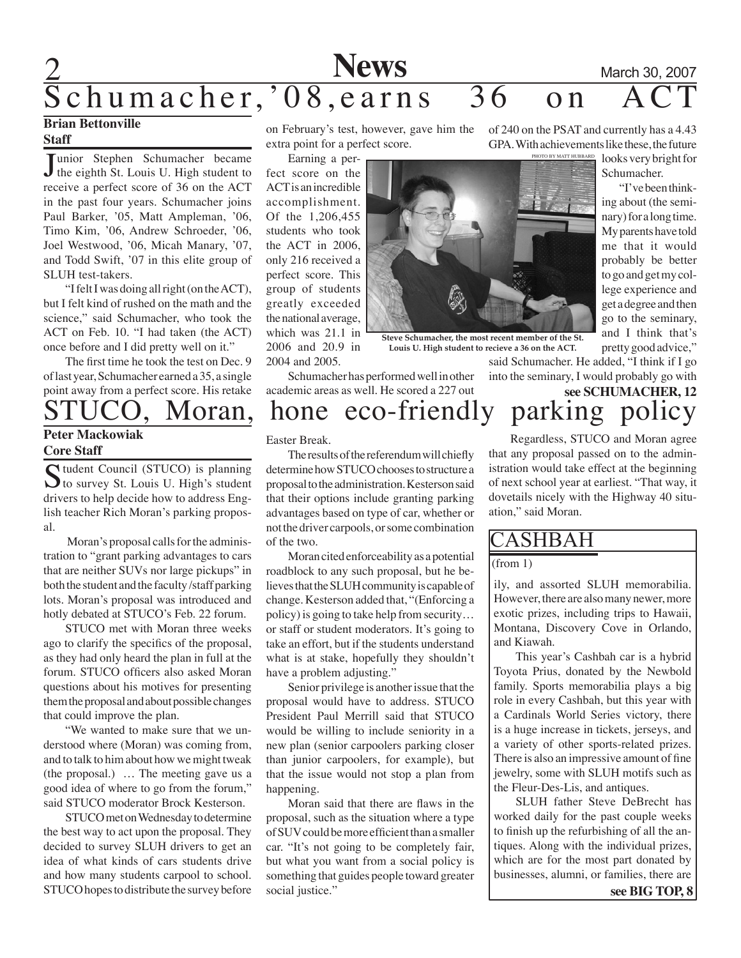# **2 News** March 30, 2007  $\overline{\text{Schumacher}}, \text{'08, earns }$  36 on ACT

## **Brian Bettonville Staff**

Junior Stephen Schumacher became<br>the eighth St. Louis U. High student to Tunior Stephen Schumacher became receive a perfect score of 36 on the ACT in the past four years. Schumacher joins Paul Barker, '05, Matt Ampleman, '06, Timo Kim, '06, Andrew Schroeder, '06, Joel Westwood, '06, Micah Manary, '07, and Todd Swift, '07 in this elite group of SLUH test-takers.

"I felt I was doing all right (on the ACT), but I felt kind of rushed on the math and the science," said Schumacher, who took the ACT on Feb. 10. "I had taken (the ACT) once before and I did pretty well on it."

The first time he took the test on Dec. 9 of last year, Schumacher earned a 35, a single point away from a perfect score. His retake

## **Peter Mackowiak Core Staff**

Student Council (STUCO) is planning<br>to survey St. Louis U. High's student drivers to help decide how to address English teacher Rich Moran's parking proposal.

 Moran's proposal calls for the administration to "grant parking advantages to cars that are neither SUVs nor large pickups" in both the student and the faculty /staff parking lots. Moran's proposal was introduced and hotly debated at STUCO's Feb. 22 forum.

STUCO met with Moran three weeks ago to clarify the specifics of the proposal, as they had only heard the plan in full at the forum. STUCO officers also asked Moran questions about his motives for presenting them the proposal and about possible changes that could improve the plan.

"We wanted to make sure that we understood where (Moran) was coming from, and to talk to him about how we might tweak (the proposal.) … The meeting gave us a good idea of where to go from the forum," said STUCO moderator Brock Kesterson.

STUCO met on Wednesday to determine the best way to act upon the proposal. They decided to survey SLUH drivers to get an idea of what kinds of cars students drive and how many students carpool to school. STUCO hopes to distribute the survey before

on February's test, however, gave him the extra point for a perfect score.

Earning a perfect score on the ACT is an incredible accomplishment. Of the 1,206,455 students who took the ACT in 2006, only 216 received a perfect score. This group of students greatly exceeded the national average, which was 21.1 in 2006 and 20.9 in 2004 and 2005.



**Steve Schumacher, the most recent member of the St. Louis U. High student to recieve a 36 on the ACT.**

Schumacher has performed well in other academic areas as well. He scored a 227 out

of 240 on the PSAT and currently has a 4.43 GPA. With achievements like these, the future Photo by Matt Hubbard

looks very bright for Schumacher.

"I've been thinking about (the seminary) for a long time. My parents have told me that it would probably be better to go and get my college experience and get a degree and then go to the seminary, and I think that's pretty good advice,"

**see SCHUMACHER, 12**

said Schumacher. He added, "I think if I go into the seminary, I would probably go with

# oran, hone eco-friendly parking

### Easter Break.

The results of the referendum will chiefly determine how STUCO chooses to structure a proposal to the administration. Kesterson said that their options include granting parking advantages based on type of car, whether or not the driver carpools, or some combination of the two.

Moran cited enforceability as a potential roadblock to any such proposal, but he believes that the SLUH community is capable of change. Kesterson added that, "(Enforcing a policy) is going to take help from security… or staff or student moderators. It's going to take an effort, but if the students understand what is at stake, hopefully they shouldn't have a problem adjusting."

Senior privilege is another issue that the proposal would have to address. STUCO President Paul Merrill said that STUCO would be willing to include seniority in a new plan (senior carpoolers parking closer than junior carpoolers, for example), but that the issue would not stop a plan from happening.

Moran said that there are flaws in the proposal, such as the situation where a type of SUV could be more efficient than a smaller car. "It's not going to be completely fair, but what you want from a social policy is something that guides people toward greater social justice."

Regardless, STUCO and Moran agree that any proposal passed on to the administration would take effect at the beginning of next school year at earliest. "That way, it dovetails nicely with the Highway 40 situation," said Moran.

# CASHBAH

(from 1)

ily, and assorted SLUH memorabilia. However, there are also many newer, more exotic prizes, including trips to Hawaii, Montana, Discovery Cove in Orlando, and Kiawah.

This year's Cashbah car is a hybrid Toyota Prius, donated by the Newbold family. Sports memorabilia plays a big role in every Cashbah, but this year with a Cardinals World Series victory, there is a huge increase in tickets, jerseys, and a variety of other sports-related prizes. There is also an impressive amount of fine jewelry, some with SLUH motifs such as the Fleur-Des-Lis, and antiques.

SLUH father Steve DeBrecht has worked daily for the past couple weeks to finish up the refurbishing of all the antiques. Along with the individual prizes, which are for the most part donated by businesses, alumni, or families, there are **see BIG TOP, 8**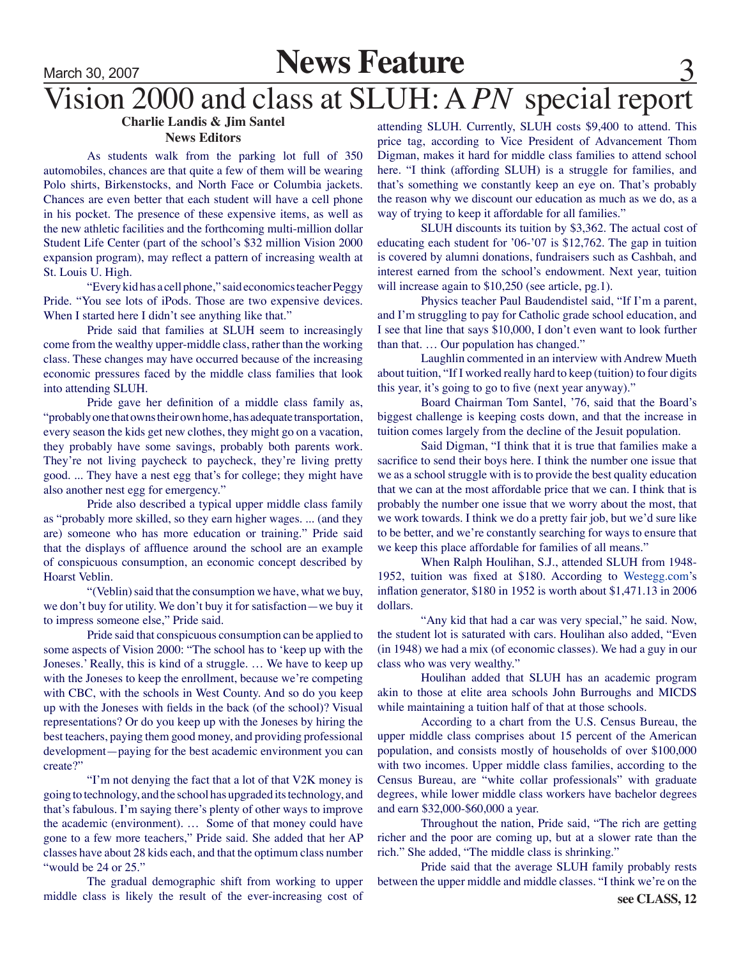# **News Feature** 30, 2007<br> **News Feature** 3

# Vision 2000 and class at SLUH: A *PN* special report

# **Charlie Landis & Jim Santel**

## **News Editors**

As students walk from the parking lot full of 350 automobiles, chances are that quite a few of them will be wearing Polo shirts, Birkenstocks, and North Face or Columbia jackets. Chances are even better that each student will have a cell phone in his pocket. The presence of these expensive items, as well as the new athletic facilities and the forthcoming multi-million dollar Student Life Center (part of the school's \$32 million Vision 2000 expansion program), may reflect a pattern of increasing wealth at St. Louis U. High.

"Every kid has a cell phone," said economics teacher Peggy Pride. "You see lots of iPods. Those are two expensive devices. When I started here I didn't see anything like that."

Pride said that families at SLUH seem to increasingly come from the wealthy upper-middle class, rather than the working class. These changes may have occurred because of the increasing economic pressures faced by the middle class families that look into attending SLUH.

Pride gave her definition of a middle class family as, "probably one that owns their own home, has adequate transportation, every season the kids get new clothes, they might go on a vacation, they probably have some savings, probably both parents work. They're not living paycheck to paycheck, they're living pretty good. ... They have a nest egg that's for college; they might have also another nest egg for emergency."

Pride also described a typical upper middle class family as "probably more skilled, so they earn higher wages. ... (and they are) someone who has more education or training." Pride said that the displays of affluence around the school are an example of conspicuous consumption, an economic concept described by Hoarst Veblin.

"(Veblin) said that the consumption we have, what we buy, we don't buy for utility. We don't buy it for satisfaction—we buy it to impress someone else," Pride said.

Pride said that conspicuous consumption can be applied to some aspects of Vision 2000: "The school has to 'keep up with the Joneses.' Really, this is kind of a struggle. … We have to keep up with the Joneses to keep the enrollment, because we're competing with CBC, with the schools in West County. And so do you keep up with the Joneses with fields in the back (of the school)? Visual representations? Or do you keep up with the Joneses by hiring the best teachers, paying them good money, and providing professional development—paying for the best academic environment you can create?"

"I'm not denying the fact that a lot of that V2K money is going to technology, and the school has upgraded its technology, and that's fabulous. I'm saying there's plenty of other ways to improve the academic (environment). … Some of that money could have gone to a few more teachers," Pride said. She added that her AP classes have about 28 kids each, and that the optimum class number "would be 24 or 25."

The gradual demographic shift from working to upper middle class is likely the result of the ever-increasing cost of

attending SLUH. Currently, SLUH costs \$9,400 to attend. This price tag, according to Vice President of Advancement Thom Digman, makes it hard for middle class families to attend school here. "I think (affording SLUH) is a struggle for families, and that's something we constantly keep an eye on. That's probably the reason why we discount our education as much as we do, as a way of trying to keep it affordable for all families."

SLUH discounts its tuition by \$3,362. The actual cost of educating each student for '06-'07 is \$12,762. The gap in tuition is covered by alumni donations, fundraisers such as Cashbah, and interest earned from the school's endowment. Next year, tuition will increase again to \$10,250 (see article, pg.1).

Physics teacher Paul Baudendistel said, "If I'm a parent, and I'm struggling to pay for Catholic grade school education, and I see that line that says \$10,000, I don't even want to look further than that. … Our population has changed."

Laughlin commented in an interview with Andrew Mueth about tuition, "If I worked really hard to keep (tuition) to four digits this year, it's going to go to five (next year anyway)."

Board Chairman Tom Santel, '76, said that the Board's biggest challenge is keeping costs down, and that the increase in tuition comes largely from the decline of the Jesuit population.

Said Digman, "I think that it is true that families make a sacrifice to send their boys here. I think the number one issue that we as a school struggle with is to provide the best quality education that we can at the most affordable price that we can. I think that is probably the number one issue that we worry about the most, that we work towards. I think we do a pretty fair job, but we'd sure like to be better, and we're constantly searching for ways to ensure that we keep this place affordable for families of all means."

When Ralph Houlihan, S.J., attended SLUH from 1948- 1952, tuition was fixed at \$180. According to Westegg.com's inflation generator, \$180 in 1952 is worth about \$1,471.13 in 2006 dollars.

"Any kid that had a car was very special," he said. Now, the student lot is saturated with cars. Houlihan also added, "Even (in 1948) we had a mix (of economic classes). We had a guy in our class who was very wealthy."

Houlihan added that SLUH has an academic program akin to those at elite area schools John Burroughs and MICDS while maintaining a tuition half of that at those schools.

According to a chart from the U.S. Census Bureau, the upper middle class comprises about 15 percent of the American population, and consists mostly of households of over \$100,000 with two incomes. Upper middle class families, according to the Census Bureau, are "white collar professionals" with graduate degrees, while lower middle class workers have bachelor degrees and earn \$32,000-\$60,000 a year.

Throughout the nation, Pride said, "The rich are getting richer and the poor are coming up, but at a slower rate than the rich." She added, "The middle class is shrinking."

Pride said that the average SLUH family probably rests between the upper middle and middle classes. "I think we're on the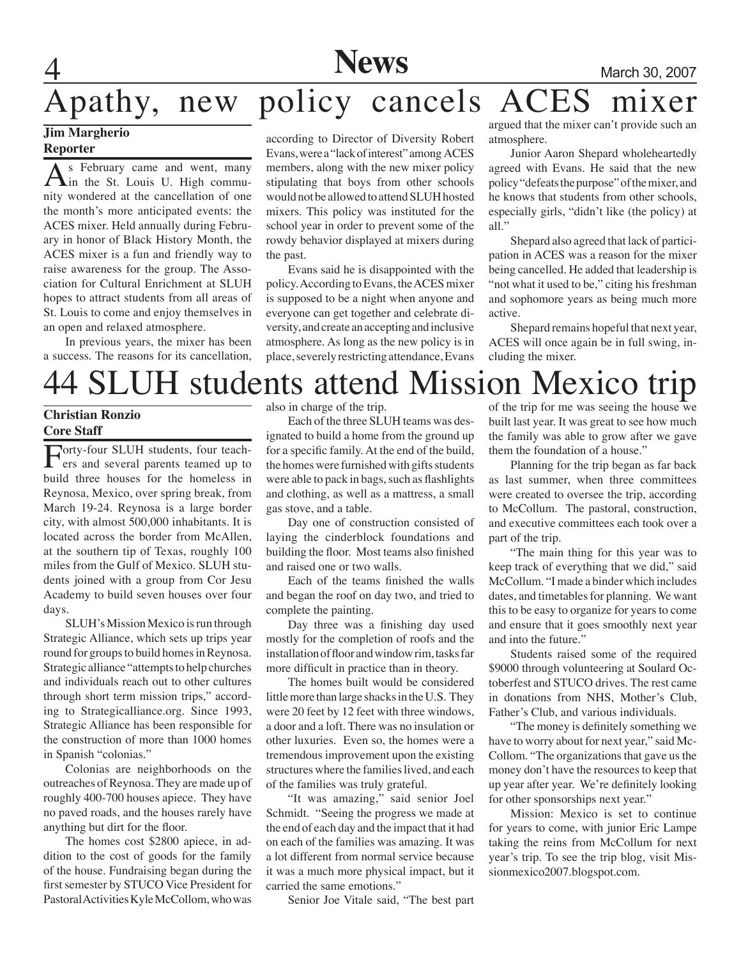# **4** Mews March 30, 2007 Apathy, new policy cancels ACES mixer

## **Jim Margherio Reporter**

As February came and went, many<br>in the St. Louis U. High community wondered at the cancellation of one the month's more anticipated events: the ACES mixer. Held annually during February in honor of Black History Month, the ACES mixer is a fun and friendly way to raise awareness for the group. The Association for Cultural Enrichment at SLUH hopes to attract students from all areas of St. Louis to come and enjoy themselves in an open and relaxed atmosphere.

In previous years, the mixer has been a success. The reasons for its cancellation,

according to Director of Diversity Robert Evans, were a "lack of interest" among ACES members, along with the new mixer policy stipulating that boys from other schools would not be allowed to attend SLUH hosted mixers. This policy was instituted for the school year in order to prevent some of the rowdy behavior displayed at mixers during the past.

Evans said he is disappointed with the policy. According to Evans, the ACES mixer is supposed to be a night when anyone and everyone can get together and celebrate diversity, and create an accepting and inclusive atmosphere. As long as the new policy is in place, severely restricting attendance, Evans argued that the mixer can't provide such an atmosphere.

Junior Aaron Shepard wholeheartedly agreed with Evans. He said that the new policy "defeats the purpose" of the mixer, and he knows that students from other schools, especially girls, "didn't like (the policy) at all."

Shepard also agreed that lack of participation in ACES was a reason for the mixer being cancelled. He added that leadership is "not what it used to be," citing his freshman and sophomore years as being much more active.

Shepard remains hopeful that next year, ACES will once again be in full swing, including the mixer.

# 44 SLUH students attend Mission Mexico trip

## **Christian Ronzio Core Staff**

Forty-four SLUH students, four teach-ers and several parents teamed up to build three houses for the homeless in Reynosa, Mexico, over spring break, from March 19-24. Reynosa is a large border city, with almost 500,000 inhabitants. It is located across the border from McAllen, at the southern tip of Texas, roughly 100 miles from the Gulf of Mexico. SLUH students joined with a group from Cor Jesu Academy to build seven houses over four days.

SLUH's Mission Mexico is run through Strategic Alliance, which sets up trips year round for groups to build homes in Reynosa. Strategic alliance "attempts to help churches and individuals reach out to other cultures through short term mission trips," according to Strategicalliance.org. Since 1993, Strategic Alliance has been responsible for the construction of more than 1000 homes in Spanish "colonias."

Colonias are neighborhoods on the outreaches of Reynosa. They are made up of roughly 400-700 houses apiece. They have no paved roads, and the houses rarely have anything but dirt for the floor.

The homes cost \$2800 apiece, in addition to the cost of goods for the family of the house. Fundraising began during the first semester by STUCO Vice President for Pastoral Activities Kyle McCollom, who was

also in charge of the trip.

Each of the three SLUH teams was designated to build a home from the ground up for a specific family. At the end of the build, the homes were furnished with gifts students were able to pack in bags, such as flashlights and clothing, as well as a mattress, a small gas stove, and a table.

 Day one of construction consisted of laying the cinderblock foundations and building the floor. Most teams also finished and raised one or two walls.

Each of the teams finished the walls and began the roof on day two, and tried to complete the painting.

Day three was a finishing day used mostly for the completion of roofs and the installation of floor and window rim, tasks far more difficult in practice than in theory.

The homes built would be considered little more than large shacks in the U.S. They were 20 feet by 12 feet with three windows, a door and a loft. There was no insulation or other luxuries. Even so, the homes were a tremendous improvement upon the existing structures where the families lived, and each of the families was truly grateful.

"It was amazing," said senior Joel Schmidt. "Seeing the progress we made at the end of each day and the impact that it had on each of the families was amazing. It was a lot different from normal service because it was a much more physical impact, but it carried the same emotions."

Senior Joe Vitale said, "The best part

of the trip for me was seeing the house we built last year. It was great to see how much the family was able to grow after we gave them the foundation of a house."

Planning for the trip began as far back as last summer, when three committees were created to oversee the trip, according to McCollum. The pastoral, construction, and executive committees each took over a part of the trip.

"The main thing for this year was to keep track of everything that we did," said McCollum. "I made a binder which includes dates, and timetables for planning. We want this to be easy to organize for years to come and ensure that it goes smoothly next year and into the future."

Students raised some of the required \$9000 through volunteering at Soulard Octoberfest and STUCO drives. The rest came in donations from NHS, Mother's Club, Father's Club, and various individuals.

"The money is definitely something we have to worry about for next year," said Mc-Collom. "The organizations that gave us the money don't have the resources to keep that up year after year. We're definitely looking for other sponsorships next year."

Mission: Mexico is set to continue for years to come, with junior Eric Lampe taking the reins from McCollum for next year's trip. To see the trip blog, visit Missionmexico2007.blogspot.com.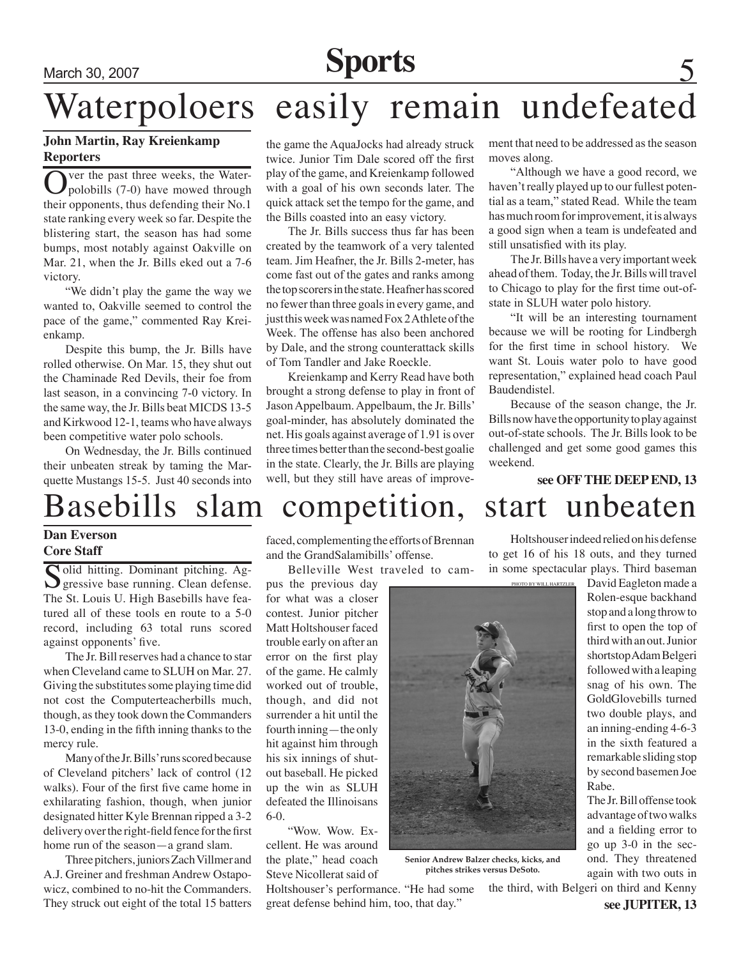# March 30, 2007 **Sports** 5

# Waterpoloers easily remain undefeated

## **John Martin, Ray Kreienkamp Reporters**

Over the past three weeks, the Water-<br>polobills  $(7-0)$  have mowed through their opponents, thus defending their No.1 state ranking every week so far. Despite the blistering start, the season has had some bumps, most notably against Oakville on Mar. 21, when the Jr. Bills eked out a 7-6 victory.

"We didn't play the game the way we wanted to, Oakville seemed to control the pace of the game," commented Ray Kreienkamp.

 Despite this bump, the Jr. Bills have rolled otherwise. On Mar. 15, they shut out the Chaminade Red Devils, their foe from last season, in a convincing 7-0 victory. In the same way, the Jr. Bills beat MICDS 13-5 and Kirkwood 12-1, teams who have always been competitive water polo schools.

 On Wednesday, the Jr. Bills continued their unbeaten streak by taming the Marquette Mustangs 15-5. Just 40 seconds into

the game the AquaJocks had already struck twice. Junior Tim Dale scored off the first play of the game, and Kreienkamp followed with a goal of his own seconds later. The quick attack set the tempo for the game, and the Bills coasted into an easy victory.

 The Jr. Bills success thus far has been created by the teamwork of a very talented team. Jim Heafner, the Jr. Bills 2-meter, has come fast out of the gates and ranks among the top scorers in the state. Heafner has scored no fewer than three goals in every game, and just this week was named Fox 2 Athlete of the Week. The offense has also been anchored by Dale, and the strong counterattack skills of Tom Tandler and Jake Roeckle.

 Kreienkamp and Kerry Read have both brought a strong defense to play in front of JasonAppelbaum.Appelbaum, the Jr. Bills' goal-minder, has absolutely dominated the net. His goals against average of 1.91 is over three times better than the second-best goalie in the state. Clearly, the Jr. Bills are playing well, but they still have areas of improvement that need to be addressed asthe season moves along.

 "Although we have a good record, we haven't really played up to our fullest potential as a team," stated Read. While the team has much room for improvement, it is always a good sign when a team is undefeated and still unsatisfied with its play.

The Jr. Bills have a very important week ahead of them. Today, the Jr. Bills will travel to Chicago to play for the first time out-ofstate in SLUH water polo history.

 "It will be an interesting tournament because we will be rooting for Lindbergh for the first time in school history. We want St. Louis water polo to have good representation," explained head coach Paul Baudendistel.

 Because of the season change, the Jr. Billsnowhavetheopportunitytoplayagainst out-of-state schools. The Jr. Bills look to be challenged and get some good games this weekend.

# Basebills slam competition, start unbeaten

## **Dan Everson Core Staff**

Solid hitting. Dominant pitching. Ag-<br>gressive base running. Clean defense. The St. Louis U. High Basebills have featured all of these tools en route to a 5-0 record, including 63 total runs scored against opponents' five.

The Jr. Bill reserves had a chance to star when Cleveland came to SLUH on Mar. 27. Giving the substitutes some playing time did not cost the Computerteacherbills much, though, as they took down the Commanders 13-0, ending in the fifth inning thanks to the mercy rule.

Many of the Jr. Bills' runs scored because of Cleveland pitchers' lack of control (12 walks). Four of the first five came home in exhilarating fashion, though, when junior designated hitter Kyle Brennan ripped a 3-2 delivery over the right-field fence for the first home run of the season—a grand slam.

Three pitchers, juniors Zach Villmer and A.J. Greiner and freshman Andrew Ostapowicz, combined to no-hit the Commanders. They struck out eight of the total 15 batters

faced, complementing the efforts of Brennan and the GrandSalamibills' offense.

Belleville West traveled to cam-

pus the previous day for what was a closer contest. Junior pitcher Matt Holtshouser faced trouble early on after an error on the first play of the game. He calmly worked out of trouble, though, and did not surrender a hit until the fourth inning—the only hit against him through his six innings of shutout baseball. He picked up the win as SLUH defeated the Illinoisans 6-0.

"Wow. Wow. Excellent. He was around the plate," head coach Steve Nicollerat said of

Holtshouser's performance. "He had some great defense behind him, too, that day."



**Senior Andrew Balzer checks, kicks, and pitches strikes versus DeSoto.**

the third, with Belgeri on third and Kenny

**see JUPITER, 13** again with two outs in

**see OFF THE DEEP END, 13** Holtshouser indeed relied on his defense to get 16 of his 18 outs, and they turned in some spectacular plays. Third baseman David Eagleton made a Rolen-esque backhand stop and a long throw to

first to open the top of third with an out. Junior shortstop Adam Belgeri followed with a leaping snag of his own. The GoldGlovebills turned two double plays, and an inning-ending 4-6-3

in the sixth featured a remarkable sliding stop by second basemen Joe Rabe. The Jr. Bill offense took

advantage of two walks and a fielding error to go up 3-0 in the second. They threatened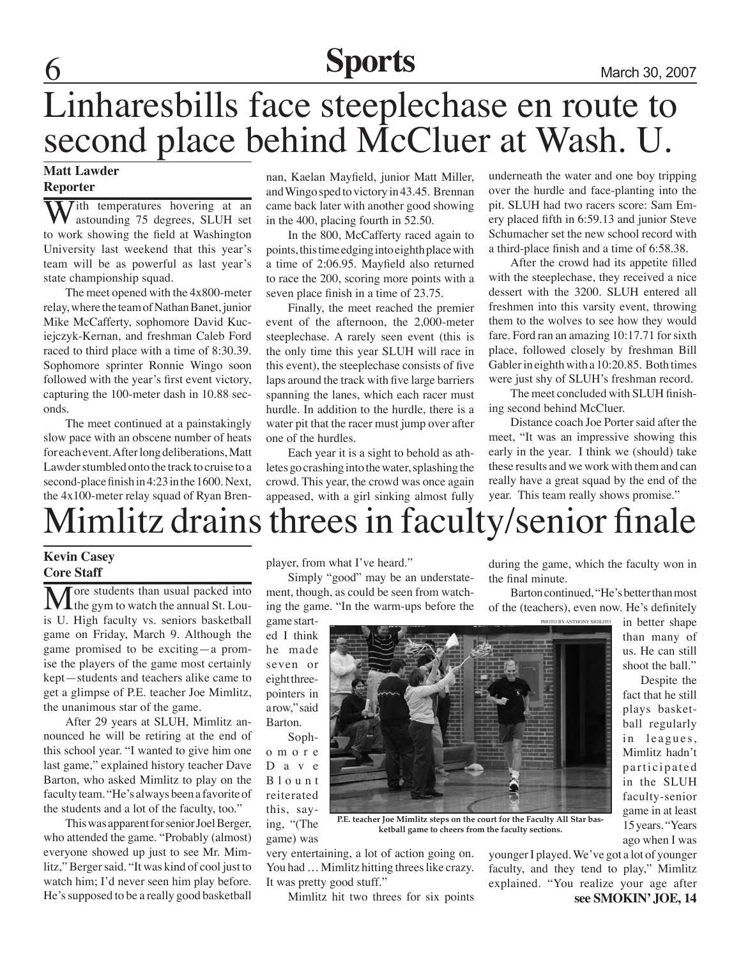# **6 Sports** March 30, 2007

# Linharesbills face steeplechase en route to second place behind McCluer at Wash. U.

## **Matt Lawder Reporter**

 $\overline{I}$ ith temperatures hovering at an astounding 75 degrees, SLUH set to work showing the field at Washington University last weekend that this year's team will be as powerful as last year's state championship squad.

The meet opened with the 4x800-meter relay, where the team of Nathan Banet, junior Mike McCafferty, sophomore David Kuciejczyk-Kernan, and freshman Caleb Ford raced to third place with a time of 8:30.39. Sophomore sprinter Ronnie Wingo soon followed with the year's first event victory, capturing the 100-meter dash in 10.88 seconds.

The meet continued at a painstakingly slow pace with an obscene number of heats for each event. After long deliberations, Matt Lawder stumbled onto the track to cruise to a second-place finish in 4:23 in the 1600. Next, the 4x100-meter relay squad of Ryan Bren-

nan, Kaelan Mayfield, junior Matt Miller, and Wingo sped to victory in 43.45. Brennan came back later with another good showing in the 400, placing fourth in 52.50.

In the 800, McCafferty raced again to points, this time edging into eighth place with a time of 2:06.95. Mayfield also returned to race the 200, scoring more points with a seven place finish in a time of 23.75.

Finally, the meet reached the premier event of the afternoon, the 2,000-meter steeplechase. A rarely seen event (this is the only time this year SLUH will race in this event), the steeplechase consists of five laps around the track with five large barriers spanning the lanes, which each racer must hurdle. In addition to the hurdle, there is a water pit that the racer must jump over after one of the hurdles.

Each year it is a sight to behold as athletes go crashing into the water, splashing the crowd. This year, the crowd was once again appeased, with a girl sinking almost fully

underneath the water and one boy tripping over the hurdle and face-planting into the pit. SLUH had two racers score: Sam Emery placed fifth in 6:59.13 and junior Steve Schumacher set the new school record with a third-place finish and a time of 6:58.38.

After the crowd had its appetite filled with the steeplechase, they received a nice dessert with the 3200. SLUH entered all freshmen into this varsity event, throwing them to the wolves to see how they would fare. Ford ran an amazing 10:17.71 for sixth place, followed closely by freshman Bill Gabler in eighth with a 10:20.85. Both times were just shy of SLUH's freshman record.

The meet concluded with SLUH finishing second behind McCluer.

Distance coach Joe Porter said after the meet, "It was an impressive showing this early in the year. I think we (should) take these results and we work with them and can really have a great squad by the end of the year. This team really shows promise."

# limlitz drains threes in faculty/senior finale

## **Kevin Casey Core Staff**

More students than usual packed into<br>the gym to watch the annual St. Louis U. High faculty vs. seniors basketball game on Friday, March 9. Although the game promised to be exciting—a promise the players of the game most certainly kept—students and teachers alike came to get a glimpse of P.E. teacher Joe Mimlitz, the unanimous star of the game.

After 29 years at SLUH, Mimlitz announced he will be retiring at the end of this school year. "I wanted to give him one last game," explained history teacher Dave Barton, who asked Mimlitz to play on the faculty team. "He's always been a favorite of the students and a lot of the faculty, too."

This was apparent for senior Joel Berger, who attended the game. "Probably (almost) everyone showed up just to see Mr. Mimlitz," Berger said. "It was kind of cool just to watch him; I'd never seen him play before. He's supposed to be a really good basketball

player, from what I've heard."

Simply "good" may be an understatement, though, as could be seen from watching the game. "In the warm-ups before the

game started I think he made seven or eight threepointers in a row," said Barton.

Sopho m o r e D a v e B l o u n t reiterated this, saying, "(The game) was



**P.E. teacher Joe Mimlitz steps on the court for the Faculty All Star basketball game to cheers from the faculty sections.**

very entertaining, a lot of action going on. You had … Mimlitz hitting threes like crazy. It was pretty good stuff."

**see SMOKIN' JOE, 14** younger I played. We've got a lot of younger faculty, and they tend to play," Mimlitz explained. "You realize your age after

Mimlitz hit two threes for six points

during the game, which the faculty won in the final minute.

Barton continued, "He's better than most of the (teachers), even now. He's definitely

Photo by Anthony Sigilito

in better shape than many of us. He can still shoot the ball."

 Despite the fact that he still plays basketball regularly in leagues, Mimlitz hadn't participated in the SLUH faculty-senior game in at least 15 years. "Years ago when I was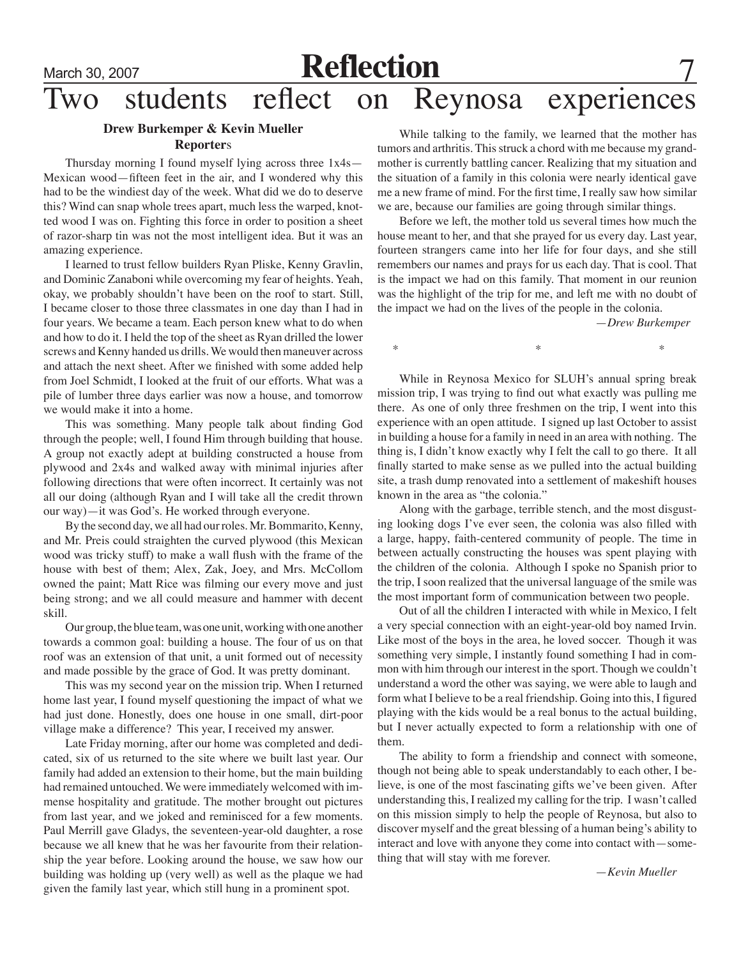# March 30, 2007<br>Two students reflect on Re Reynosa experiences

## **Drew Burkemper & Kevin Mueller Reporter**s

Thursday morning I found myself lying across three 1x4s— Mexican wood—fifteen feet in the air, and I wondered why this had to be the windiest day of the week. What did we do to deserve this? Wind can snap whole trees apart, much less the warped, knotted wood I was on. Fighting this force in order to position a sheet of razor-sharp tin was not the most intelligent idea. But it was an amazing experience.

I learned to trust fellow builders Ryan Pliske, Kenny Gravlin, and Dominic Zanaboni while overcoming my fear of heights. Yeah, okay, we probably shouldn't have been on the roof to start. Still, I became closer to those three classmates in one day than I had in four years. We became a team. Each person knew what to do when and how to do it. I held the top of the sheet as Ryan drilled the lower screws and Kenny handed us drills. We would then maneuver across and attach the next sheet. After we finished with some added help from Joel Schmidt, I looked at the fruit of our efforts. What was a pile of lumber three days earlier was now a house, and tomorrow we would make it into a home.

This was something. Many people talk about finding God through the people; well, I found Him through building that house. A group not exactly adept at building constructed a house from plywood and 2x4s and walked away with minimal injuries after following directions that were often incorrect. It certainly was not all our doing (although Ryan and I will take all the credit thrown our way)—it was God's. He worked through everyone.

By the second day, we all had our roles. Mr. Bommarito, Kenny, and Mr. Preis could straighten the curved plywood (this Mexican wood was tricky stuff) to make a wall flush with the frame of the house with best of them; Alex, Zak, Joey, and Mrs. McCollom owned the paint; Matt Rice was filming our every move and just being strong; and we all could measure and hammer with decent skill.

Our group, the blue team, was one unit, working with one another towards a common goal: building a house. The four of us on that roof was an extension of that unit, a unit formed out of necessity and made possible by the grace of God. It was pretty dominant.

This was my second year on the mission trip. When I returned home last year, I found myself questioning the impact of what we had just done. Honestly, does one house in one small, dirt-poor village make a difference? This year, I received my answer.

Late Friday morning, after our home was completed and dedicated, six of us returned to the site where we built last year. Our family had added an extension to their home, but the main building had remained untouched. We were immediately welcomed with immense hospitality and gratitude. The mother brought out pictures from last year, and we joked and reminisced for a few moments. Paul Merrill gave Gladys, the seventeen-year-old daughter, a rose because we all knew that he was her favourite from their relationship the year before. Looking around the house, we saw how our building was holding up (very well) as well as the plaque we had given the family last year, which still hung in a prominent spot.

While talking to the family, we learned that the mother has tumors and arthritis. This struck a chord with me because my grandmother is currently battling cancer. Realizing that my situation and the situation of a family in this colonia were nearly identical gave me a new frame of mind. For the first time, I really saw how similar we are, because our families are going through similar things.

Before we left, the mother told us several times how much the house meant to her, and that she prayed for us every day. Last year, fourteen strangers came into her life for four days, and she still remembers our names and prays for us each day. That is cool. That is the impact we had on this family. That moment in our reunion was the highlight of the trip for me, and left me with no doubt of the impact we had on the lives of the people in the colonia.

—*Drew Burkemper*

 $*$   $*$   $*$ 

While in Reynosa Mexico for SLUH's annual spring break mission trip, I was trying to find out what exactly was pulling me there. As one of only three freshmen on the trip, I went into this experience with an open attitude. I signed up last October to assist in building a house for a family in need in an area with nothing. The thing is, I didn't know exactly why I felt the call to go there. It all finally started to make sense as we pulled into the actual building site, a trash dump renovated into a settlement of makeshift houses known in the area as "the colonia."

Along with the garbage, terrible stench, and the most disgusting looking dogs I've ever seen, the colonia was also filled with a large, happy, faith-centered community of people. The time in between actually constructing the houses was spent playing with the children of the colonia. Although I spoke no Spanish prior to the trip, I soon realized that the universal language of the smile was the most important form of communication between two people.

Out of all the children I interacted with while in Mexico, I felt a very special connection with an eight-year-old boy named Irvin. Like most of the boys in the area, he loved soccer. Though it was something very simple, I instantly found something I had in common with him through our interest in the sport. Though we couldn't understand a word the other was saying, we were able to laugh and form what I believe to be a real friendship. Going into this, I figured playing with the kids would be a real bonus to the actual building, but I never actually expected to form a relationship with one of them.

The ability to form a friendship and connect with someone, though not being able to speak understandably to each other, I believe, is one of the most fascinating gifts we've been given. After understanding this, I realized my calling for the trip. I wasn't called on this mission simply to help the people of Reynosa, but also to discover myself and the great blessing of a human being's ability to interact and love with anyone they come into contact with—something that will stay with me forever.

—*Kevin Mueller*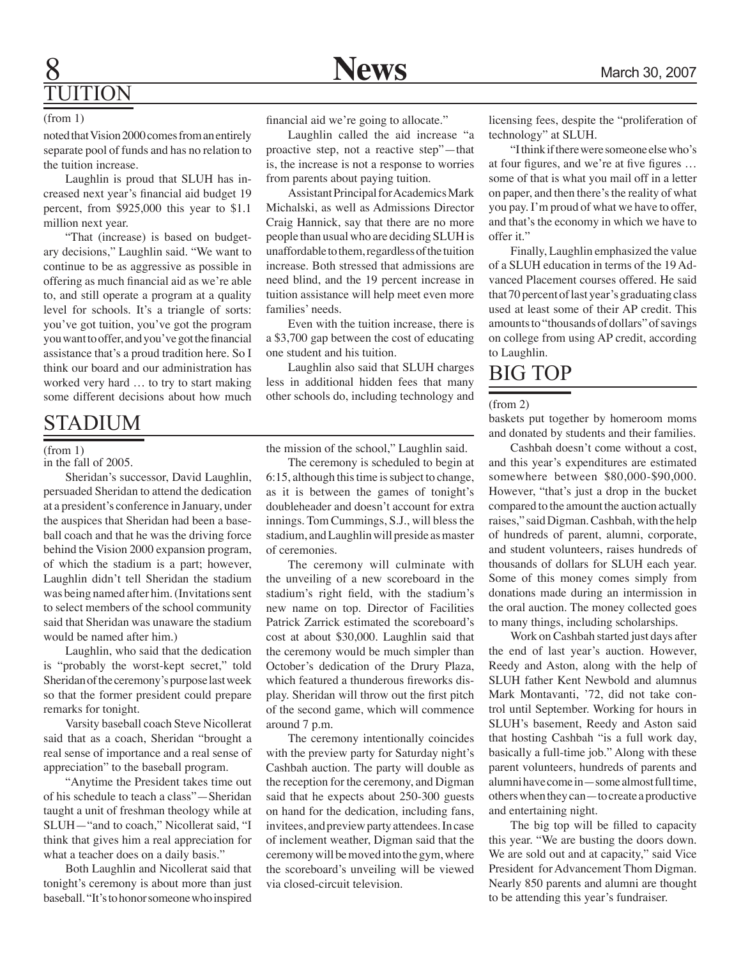# **8** Mews March 30, 2007 JITION

### (from 1)

noted that Vision 2000 comes from an entirely separate pool of funds and has no relation to the tuition increase.

Laughlin is proud that SLUH has increased next year's financial aid budget 19 percent, from \$925,000 this year to \$1.1 million next year.

"That (increase) is based on budgetary decisions," Laughlin said. "We want to continue to be as aggressive as possible in offering as much financial aid as we're able to, and still operate a program at a quality level for schools. It's a triangle of sorts: you've got tuition, you've got the program you want to offer, and you've got the financial assistance that's a proud tradition here. So I think our board and our administration has worked very hard … to try to start making some different decisions about how much

# STADIUM

### (from 1)

in the fall of 2005.

Sheridan's successor, David Laughlin, persuaded Sheridan to attend the dedication at a president's conference in January, under the auspices that Sheridan had been a baseball coach and that he was the driving force behind the Vision 2000 expansion program, of which the stadium is a part; however, Laughlin didn't tell Sheridan the stadium was being named after him. (Invitations sent to select members of the school community said that Sheridan was unaware the stadium would be named after him.)

Laughlin, who said that the dedication is "probably the worst-kept secret," told Sheridan of the ceremony's purpose last week so that the former president could prepare remarks for tonight.

Varsity baseball coach Steve Nicollerat said that as a coach, Sheridan "brought a real sense of importance and a real sense of appreciation" to the baseball program.

"Anytime the President takes time out of his schedule to teach a class"—Sheridan taught a unit of freshman theology while at SLUH—"and to coach," Nicollerat said, "I think that gives him a real appreciation for what a teacher does on a daily basis."

Both Laughlin and Nicollerat said that tonight's ceremony is about more than just baseball. "It's to honor someone who inspired financial aid we're going to allocate."

Laughlin called the aid increase "a proactive step, not a reactive step"—that is, the increase is not a response to worries from parents about paying tuition.

Assistant Principal for Academics Mark Michalski, as well as Admissions Director Craig Hannick, say that there are no more people than usual who are deciding SLUH is unaffordable to them, regardless of the tuition increase. Both stressed that admissions are need blind, and the 19 percent increase in tuition assistance will help meet even more families' needs.

Even with the tuition increase, there is a \$3,700 gap between the cost of educating one student and his tuition.

Laughlin also said that SLUH charges less in additional hidden fees that many other schools do, including technology and

the mission of the school," Laughlin said.

The ceremony is scheduled to begin at 6:15, although this time is subject to change, as it is between the games of tonight's doubleheader and doesn't account for extra innings. Tom Cummings, S.J., will bless the stadium, and Laughlin will preside as master of ceremonies.

The ceremony will culminate with the unveiling of a new scoreboard in the stadium's right field, with the stadium's new name on top. Director of Facilities Patrick Zarrick estimated the scoreboard's cost at about \$30,000. Laughlin said that the ceremony would be much simpler than October's dedication of the Drury Plaza, which featured a thunderous fireworks display. Sheridan will throw out the first pitch of the second game, which will commence around 7 p.m.

The ceremony intentionally coincides with the preview party for Saturday night's Cashbah auction. The party will double as the reception for the ceremony, and Digman said that he expects about 250-300 guests on hand for the dedication, including fans, invitees, and preview party attendees. In case of inclement weather, Digman said that the ceremony will be moved into the gym, where the scoreboard's unveiling will be viewed via closed-circuit television.

licensing fees, despite the "proliferation of technology" at SLUH.

"I think if there were someone else who's at four figures, and we're at five figures … some of that is what you mail off in a letter on paper, and then there's the reality of what you pay. I'm proud of what we have to offer, and that's the economy in which we have to offer it."

Finally, Laughlin emphasized the value of a SLUH education in terms of the 19 Advanced Placement courses offered. He said that 70 percent of last year's graduating class used at least some of their AP credit. This amounts to "thousands of dollars" of savings on college from using AP credit, according to Laughlin.

# BIG TOP

### (from 2)

baskets put together by homeroom moms and donated by students and their families.

Cashbah doesn't come without a cost, and this year's expenditures are estimated somewhere between \$80,000-\$90,000. However, "that's just a drop in the bucket compared to the amount the auction actually raises," said Digman. Cashbah, with the help of hundreds of parent, alumni, corporate, and student volunteers, raises hundreds of thousands of dollars for SLUH each year. Some of this money comes simply from donations made during an intermission in the oral auction. The money collected goes to many things, including scholarships.

Work on Cashbah started just days after the end of last year's auction. However, Reedy and Aston, along with the help of SLUH father Kent Newbold and alumnus Mark Montavanti, '72, did not take control until September. Working for hours in SLUH's basement, Reedy and Aston said that hosting Cashbah "is a full work day, basically a full-time job." Along with these parent volunteers, hundreds of parents and alumni have come in—some almost full time, others when they can—to create a productive and entertaining night.

The big top will be filled to capacity this year. "We are busting the doors down. We are sold out and at capacity," said Vice President for Advancement Thom Digman. Nearly 850 parents and alumni are thought to be attending this year's fundraiser.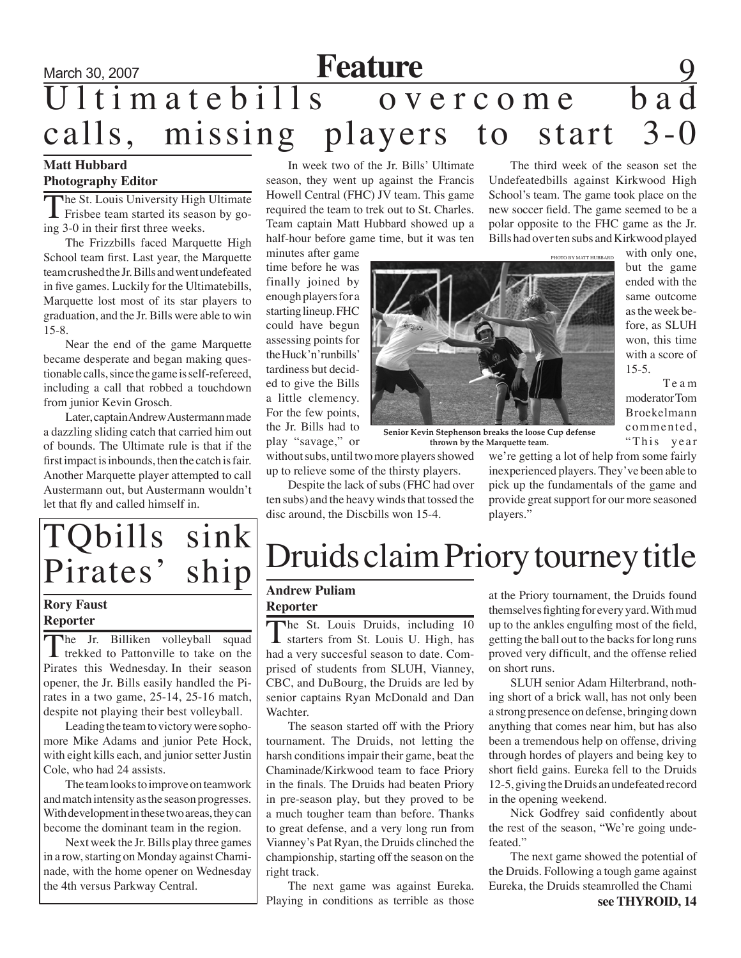# March 30, 2007 **Feature** 9 Ultimatebills overcome bad calls, missing players to start 3-0

## **Matt Hubbard Photography Editor**

The St. Louis University High Ultimate  $\blacksquare$  Frisbee team started its season by going 3-0 in their first three weeks.

The Frizzbills faced Marquette High School team first. Last year, the Marquette team crushed the Jr. Bills and went undefeated in five games. Luckily for the Ultimatebills, Marquette lost most of its star players to graduation, and the Jr. Bills were able to win 15-8.

Near the end of the game Marquette became desperate and began making questionable calls, since the game is self-refereed, including a call that robbed a touchdown from junior Kevin Grosch.

Later, captain Andrew Austermann made a dazzling sliding catch that carried him out of bounds. The Ultimate rule is that if the first impact is inbounds, then the catch is fair. Another Marquette player attempted to call Austermann out, but Austermann wouldn't let that fly and called himself in.

In week two of the Jr. Bills' Ultimate season, they went up against the Francis Howell Central (FHC) JV team. This game required the team to trek out to St. Charles. Team captain Matt Hubbard showed up a half-hour before game time, but it was ten

minutes after game time before he was finally joined by enough players for a starting lineup. FHC could have begun assessing points for the Huck'n'runbills' tardiness but decided to give the Bills a little clemency. For the few points, the Jr. Bills had to play "savage," or

without subs, until two more players showed up to relieve some of the thirsty players.

Despite the lack of subs (FHC had over ten subs) and the heavy winds that tossed the disc around, the Discbills won 15-4.

The third week of the season set the Undefeatedbills against Kirkwood High School's team. The game took place on the new soccer field. The game seemed to be a polar opposite to the FHC game as the Jr. Bills had over ten subs and Kirkwood played

photo by matt hubbard

with only one, but the game won, this time

Te a m moderator Tom Broekelmann commented, "This year

ended with the same outcome as the week before, as SLUH with a score of 15-5.

**Senior Kevin Stephenson breaks the loose Cup defense thrown by the Marquette team.**

players."

TQbills sink<br>Pirates' ship

## **Rory Faust Reporter**

The Jr. Billiken volleyball squad trekked to Pattonville to take on the Pirates this Wednesday. In their season opener, the Jr. Bills easily handled the Pirates in a two game, 25-14, 25-16 match, despite not playing their best volleyball.

Leading the team to victory were sophomore Mike Adams and junior Pete Hock, with eight kills each, and junior setter Justin Cole, who had 24 assists.

The team looks to improve on teamwork and match intensity as the season progresses. With development in these two areas, they can become the dominant team in the region.

Next week the Jr. Bills play three games in a row, starting on Monday against Chaminade, with the home opener on Wednesday the 4th versus Parkway Central.

# Druids claim Priory tourney title

### **Andrew Puliam Reporter**

The St. Louis Druids, including 10 starters from St. Louis U. High, has had a very succesful season to date. Comprised of students from SLUH, Vianney, CBC, and DuBourg, the Druids are led by senior captains Ryan McDonald and Dan Wachter.

The season started off with the Priory tournament. The Druids, not letting the harsh conditions impair their game, beat the Chaminade/Kirkwood team to face Priory in the finals. The Druids had beaten Priory in pre-season play, but they proved to be a much tougher team than before. Thanks to great defense, and a very long run from Vianney's Pat Ryan, the Druids clinched the championship, starting off the season on the right track.

The next game was against Eureka. Playing in conditions as terrible as those **see THYROID**, 14

at the Priory tournament, the Druids found themselves fighting for every yard. With mud up to the ankles engulfing most of the field, getting the ball out to the backs for long runs proved very difficult, and the offense relied on short runs.

we're getting a lot of help from some fairly inexperienced players. They've been able to pick up the fundamentals of the game and provide great support for our more seasoned

SLUH senior Adam Hilterbrand, nothing short of a brick wall, has not only been a strong presence on defense, bringing down anything that comes near him, but has also been a tremendous help on offense, driving through hordes of players and being key to short field gains. Eureka fell to the Druids 12-5, giving the Druids an undefeated record in the opening weekend.

Nick Godfrey said confidently about the rest of the season, "We're going undefeated."

The next game showed the potential of the Druids. Following a tough game against Eureka, the Druids steamrolled the Chami



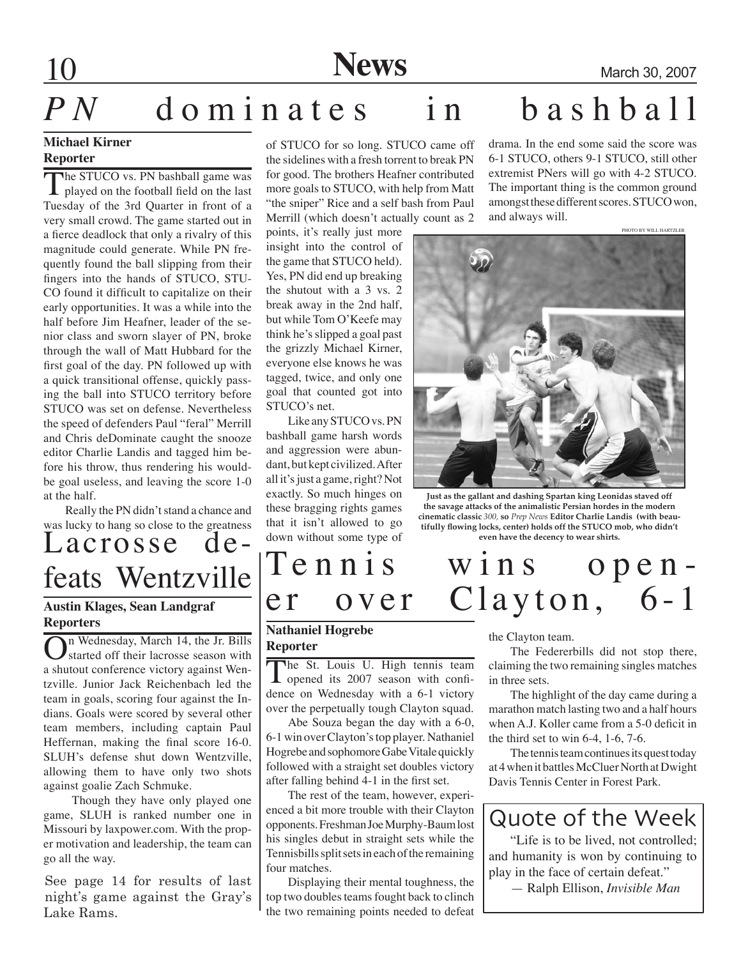**10 News** March 30, 2007

# *PN* dominates in bashball

## **Michael Kirner Reporter**

The STUCO vs. PN bashball game was **I** played on the football field on the last Tuesday of the 3rd Quarter in front of a very small crowd. The game started out in a fierce deadlock that only a rivalry of this magnitude could generate. While PN frequently found the ball slipping from their fingers into the hands of STUCO, STU-CO found it difficult to capitalize on their early opportunities. It was a while into the half before Jim Heafner, leader of the senior class and sworn slayer of PN, broke through the wall of Matt Hubbard for the first goal of the day. PN followed up with a quick transitional offense, quickly passing the ball into STUCO territory before STUCO was set on defense. Nevertheless the speed of defenders Paul "feral" Merrill and Chris deDominate caught the snooze editor Charlie Landis and tagged him before his throw, thus rendering his wouldbe goal useless, and leaving the score 1-0 at the half.

Really the PN didn't stand a chance and was lucky to hang so close to the greatness

# Lacrosse de-

## **Austin Klages, Sean Landgraf Reporters**

On Wednesday, March 14, the Jr. Bills<br>Started off their lacrosse season with a shutout conference victory against Wentzville. Junior Jack Reichenbach led the team in goals, scoring four against the Indians. Goals were scored by several other team members, including captain Paul Heffernan, making the final score 16-0. SLUH's defense shut down Wentzville, allowing them to have only two shots against goalie Zach Schmuke.

 Though they have only played one game, SLUH is ranked number one in Missouri by laxpower.com. With the proper motivation and leadership, the team can go all the way.

See page 14 for results of last<br>night's game against the Gray's See page 14 for results of last Lake Rams.

of STUCO for so long. STUCO came off the sidelines with a fresh torrent to break PN for good. The brothers Heafner contributed more goals to STUCO, with help from Matt "the sniper" Rice and a self bash from Paul Merrill (which doesn't actually count as 2

points, it's really just more insight into the control of the game that STUCO held). Yes, PN did end up breaking the shutout with a 3 vs. 2 break away in the 2nd half, but while Tom O'Keefe may think he's slipped a goal past the grizzly Michael Kirner, everyone else knows he was tagged, twice, and only one goal that counted got into STUCO's net.

Like any STUCO vs. PN bashball game harsh words and aggression were abundant, but kept civilized. After all it's just a game, right? Not exactly. So much hinges on these bragging rights games that it isn't allowed to go down without some type of drama. In the end some said the score was 6-1 STUCO, others 9-1 STUCO, still other extremist PNers will go with 4-2 STUCO. The important thing is the common ground amongst these different scores. STUCO won, and always will.



**Just as the gallant and dashing Spartan king Leonidas staved off the savage attacks of the animalistic Persian hordes in the modern cinematic classic** *300,* **so** *Prep News* **Editor Charlie Landis (with beautifully flowing locks, center) holds off the STUCO mob, who didn't even have the decency to wear shirts.**

# feats Wentzville  $\begin{bmatrix} T e \text{ n n i s} & w \text{ i n s} & o p e n - \ e r & o v e r & C | a v t o n \end{bmatrix}$ Clayton,  $6-1$

## **Nathaniel Hogrebe Reporter**

The St. Louis U. High tennis team<br>opened its 2007 season with confidence on Wednesday with a 6-1 victory over the perpetually tough Clayton squad.

Abe Souza began the day with a 6-0, 6-1 win over Clayton's top player. Nathaniel Hogrebe and sophomore Gabe Vitale quickly followed with a straight set doubles victory after falling behind 4-1 in the first set.

The rest of the team, however, experienced a bit more trouble with their Clayton opponents. Freshman Joe Murphy-Baum lost his singles debut in straight sets while the Tennisbills split sets in each of the remaining four matches.

Displaying their mental toughness, the top two doubles teams fought back to clinch the two remaining points needed to defeat

the Clayton team.

The Federerbills did not stop there, claiming the two remaining singles matches in three sets.

The highlight of the day came during a marathon match lasting two and a half hours when A.J. Koller came from a 5-0 deficit in the third set to win 6-4, 1-6, 7-6.

The tennis team continues its quest today at 4 when it battles McCluer North at Dwight Davis Tennis Center in Forest Park.

# Quote of the Week

"Life is to be lived, not controlled; and humanity is won by continuing to play in the face of certain defeat."

— Ralph Ellison, *Invisible Man*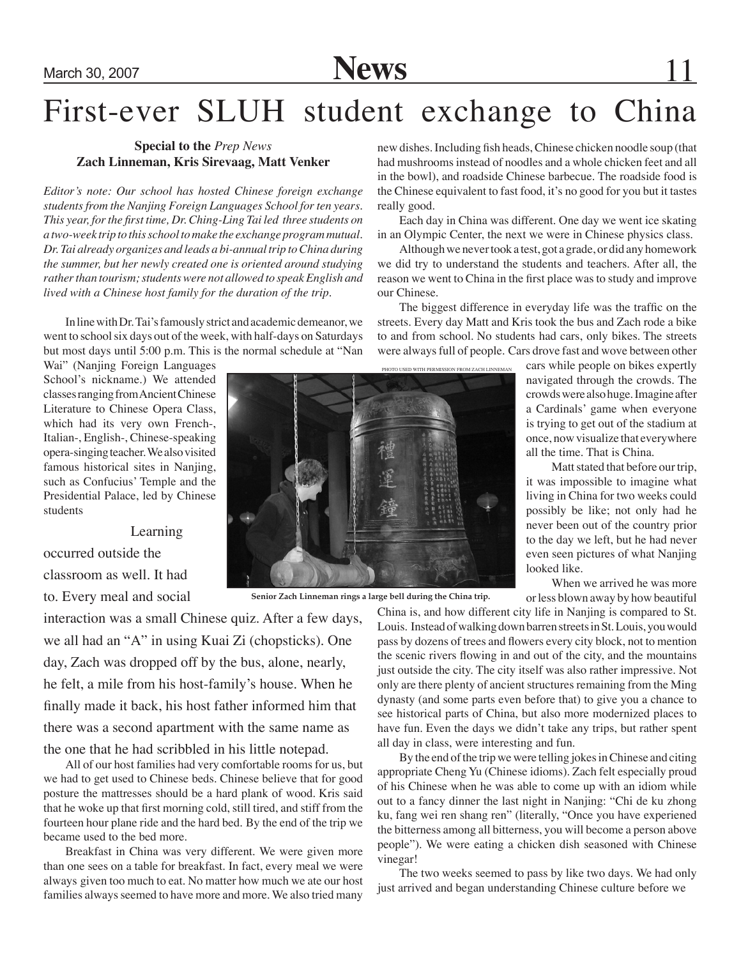# First-ever SLUH student exchange to China

## **Special to the** *Prep News* **Zach Linneman, Kris Sirevaag, Matt Venker**

*Editor's note: Our school has hosted Chinese foreign exchange students from the Nanjing Foreign Languages School for ten years. This year, for the first time, Dr. Ching-Ling Tai led three students on a two-week trip to this school to make the exchange program mutual. Dr. Tai already organizes and leads a bi-annual trip to China during the summer, but her newly created one is oriented around studying rather than tourism; students were not allowed to speak English and lived with a Chinese host family for the duration of the trip.*

In line with Dr. Tai's famously strict and academic demeanor, we went to school six days out of the week, with half-days on Saturdays but most days until 5:00 p.m. This is the normal schedule at "Nan

Wai" (Nanjing Foreign Languages School's nickname.) We attended classes ranging from Ancient Chinese Literature to Chinese Opera Class, which had its very own French-, Italian-, English-, Chinese-speaking opera-singing teacher. We also visited famous historical sites in Nanjing, such as Confucius' Temple and the Presidential Palace, led by Chinese students

Learning

occurred outside the classroom as well. It had to. Every meal and social

interaction was a small Chinese quiz. After a few days, we all had an "A" in using Kuai Zi (chopsticks). One day, Zach was dropped off by the bus, alone, nearly, he felt, a mile from his host-family's house. When he finally made it back, his host father informed him that there was a second apartment with the same name as the one that he had scribbled in his little notepad.

All of our host families had very comfortable rooms for us, but we had to get used to Chinese beds. Chinese believe that for good posture the mattresses should be a hard plank of wood. Kris said that he woke up that first morning cold, still tired, and stiff from the fourteen hour plane ride and the hard bed. By the end of the trip we became used to the bed more.

Breakfast in China was very different. We were given more than one sees on a table for breakfast. In fact, every meal we were always given too much to eat. No matter how much we ate our host families always seemed to have more and more. We also tried many new dishes. Including fish heads, Chinese chicken noodle soup (that had mushrooms instead of noodles and a whole chicken feet and all in the bowl), and roadside Chinese barbecue. The roadside food is the Chinese equivalent to fast food, it's no good for you but it tastes really good.

Each day in China was different. One day we went ice skating in an Olympic Center, the next we were in Chinese physics class.

Although we never took a test, got a grade, or did any homework we did try to understand the students and teachers. After all, the reason we went to China in the first place was to study and improve our Chinese.

The biggest difference in everyday life was the traffic on the streets. Every day Matt and Kris took the bus and Zach rode a bike to and from school. No students had cars, only bikes. The streets were always full of people. Cars drove fast and wove between other

> cars while people on bikes expertly navigated through the crowds. The crowds were also huge. Imagine after a Cardinals' game when everyone is trying to get out of the stadium at once, now visualize that everywhere all the time. That is China.

> Matt stated that before our trip, it was impossible to imagine what living in China for two weeks could possibly be like; not only had he never been out of the country prior to the day we left, but he had never even seen pictures of what Nanjing looked like.

> When we arrived he was more or less blown away by how beautiful

China is, and how different city life in Nanjing is compared to St. Louis. Instead of walking down barren streets in St. Louis, you would pass by dozens of trees and flowers every city block, not to mention the scenic rivers flowing in and out of the city, and the mountains just outside the city. The city itself was also rather impressive. Not only are there plenty of ancient structures remaining from the Ming dynasty (and some parts even before that) to give you a chance to see historical parts of China, but also more modernized places to have fun. Even the days we didn't take any trips, but rather spent all day in class, were interesting and fun.

By the end of the trip we were telling jokes in Chinese and citing appropriate Cheng Yu (Chinese idioms). Zach felt especially proud of his Chinese when he was able to come up with an idiom while out to a fancy dinner the last night in Nanjing: "Chi de ku zhong ku, fang wei ren shang ren" (literally, "Once you have experiened the bitterness among all bitterness, you will become a person above people"). We were eating a chicken dish seasoned with Chinese vinegar!

The two weeks seemed to pass by like two days. We had only just arrived and began understanding Chinese culture before we

**Senior Zach Linneman rings a large bell during the China trip.**

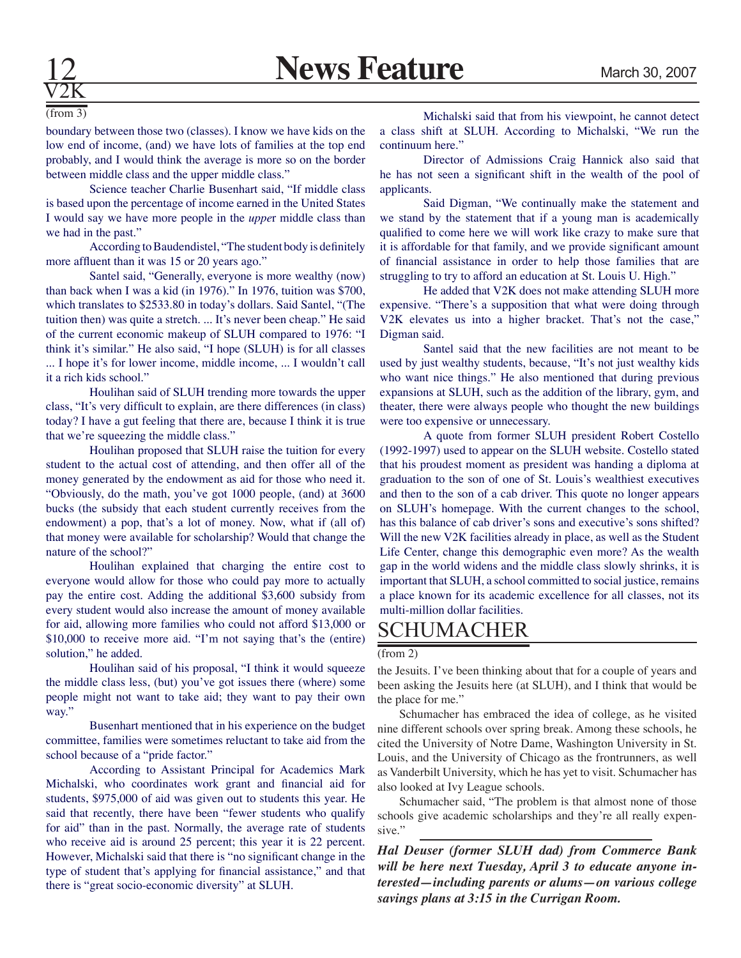

(from 3)

boundary between those two (classes). I know we have kids on the low end of income, (and) we have lots of families at the top end probably, and I would think the average is more so on the border between middle class and the upper middle class."

Science teacher Charlie Busenhart said, "If middle class is based upon the percentage of income earned in the United States I would say we have more people in the *uppe*r middle class than we had in the past."

According to Baudendistel, "The student body is definitely more affluent than it was 15 or 20 years ago."

Santel said, "Generally, everyone is more wealthy (now) than back when I was a kid (in 1976)." In 1976, tuition was \$700, which translates to \$2533.80 in today's dollars. Said Santel, "(The tuition then) was quite a stretch. ... It's never been cheap." He said of the current economic makeup of SLUH compared to 1976: "I think it's similar." He also said, "I hope (SLUH) is for all classes ... I hope it's for lower income, middle income, ... I wouldn't call it a rich kids school."

Houlihan said of SLUH trending more towards the upper class, "It's very difficult to explain, are there differences (in class) today? I have a gut feeling that there are, because I think it is true that we're squeezing the middle class."

Houlihan proposed that SLUH raise the tuition for every student to the actual cost of attending, and then offer all of the money generated by the endowment as aid for those who need it. "Obviously, do the math, you've got 1000 people, (and) at 3600 bucks (the subsidy that each student currently receives from the endowment) a pop, that's a lot of money. Now, what if (all of) that money were available for scholarship? Would that change the nature of the school?"

Houlihan explained that charging the entire cost to everyone would allow for those who could pay more to actually pay the entire cost. Adding the additional \$3,600 subsidy from every student would also increase the amount of money available for aid, allowing more families who could not afford \$13,000 or \$10,000 to receive more aid. "I'm not saying that's the (entire) solution," he added.

Houlihan said of his proposal, "I think it would squeeze the middle class less, (but) you've got issues there (where) some people might not want to take aid; they want to pay their own way."

Busenhart mentioned that in his experience on the budget committee, families were sometimes reluctant to take aid from the school because of a "pride factor."

According to Assistant Principal for Academics Mark Michalski, who coordinates work grant and financial aid for students, \$975,000 of aid was given out to students this year. He said that recently, there have been "fewer students who qualify for aid" than in the past. Normally, the average rate of students who receive aid is around 25 percent; this year it is 22 percent. However, Michalski said that there is "no significant change in the type of student that's applying for financial assistance," and that there is "great socio-economic diversity" at SLUH.

Michalski said that from his viewpoint, he cannot detect a class shift at SLUH. According to Michalski, "We run the continuum here."

Director of Admissions Craig Hannick also said that he has not seen a significant shift in the wealth of the pool of applicants.

Said Digman, "We continually make the statement and we stand by the statement that if a young man is academically qualified to come here we will work like crazy to make sure that it is affordable for that family, and we provide significant amount of financial assistance in order to help those families that are struggling to try to afford an education at St. Louis U. High."

He added that V2K does not make attending SLUH more expensive. "There's a supposition that what were doing through V2K elevates us into a higher bracket. That's not the case," Digman said.

Santel said that the new facilities are not meant to be used by just wealthy students, because, "It's not just wealthy kids who want nice things." He also mentioned that during previous expansions at SLUH, such as the addition of the library, gym, and theater, there were always people who thought the new buildings were too expensive or unnecessary.

A quote from former SLUH president Robert Costello (1992-1997) used to appear on the SLUH website. Costello stated that his proudest moment as president was handing a diploma at graduation to the son of one of St. Louis's wealthiest executives and then to the son of a cab driver. This quote no longer appears on SLUH's homepage. With the current changes to the school, has this balance of cab driver's sons and executive's sons shifted? Will the new V2K facilities already in place, as well as the Student Life Center, change this demographic even more? As the wealth gap in the world widens and the middle class slowly shrinks, it is important that SLUH, a school committed to social justice, remains a place known for its academic excellence for all classes, not its multi-million dollar facilities.

# SCHUMACHER

### (from 2)

the Jesuits. I've been thinking about that for a couple of years and been asking the Jesuits here (at SLUH), and I think that would be the place for me."

Schumacher has embraced the idea of college, as he visited nine different schools over spring break. Among these schools, he cited the University of Notre Dame, Washington University in St. Louis, and the University of Chicago as the frontrunners, as well as Vanderbilt University, which he has yet to visit. Schumacher has also looked at Ivy League schools.

Schumacher said, "The problem is that almost none of those schools give academic scholarships and they're all really expensive."

*Hal Deuser (former SLUH dad) from Commerce Bank will be here next Tuesday, April 3 to educate anyone interested—including parents or alums—on various college savings plans at 3:15 in the Currigan Room.*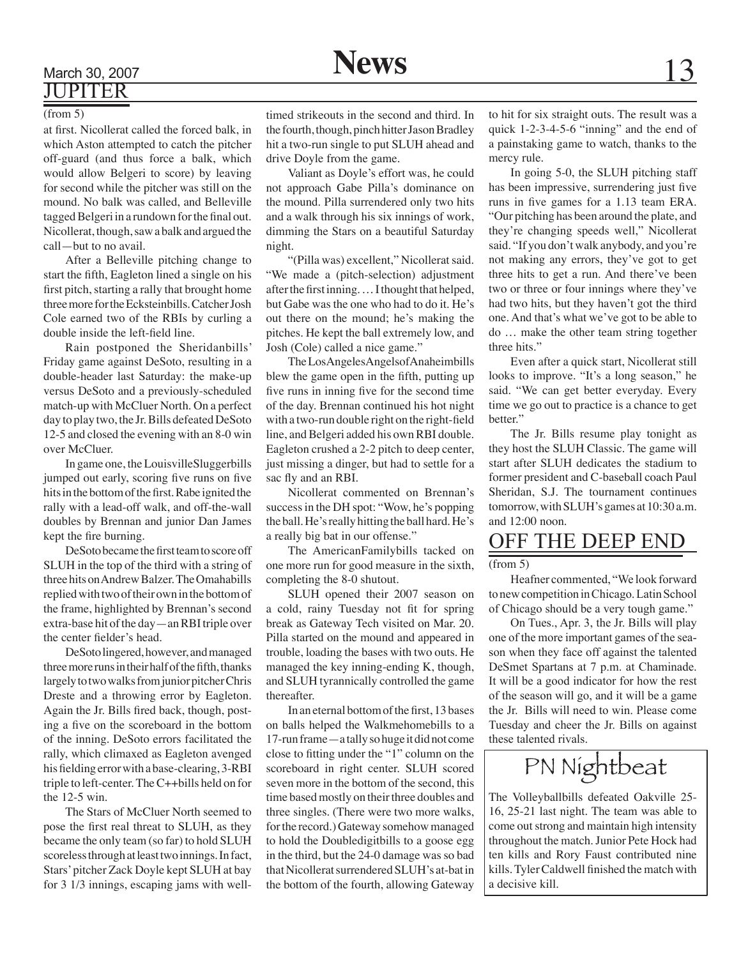# March 30, 2007 **News** 13 JUPITER

### (from 5)

at first. Nicollerat called the forced balk, in which Aston attempted to catch the pitcher off-guard (and thus force a balk, which would allow Belgeri to score) by leaving for second while the pitcher was still on the mound. No balk was called, and Belleville tagged Belgeri in a rundown for the final out. Nicollerat, though, saw a balk and argued the call—but to no avail.

After a Belleville pitching change to start the fifth, Eagleton lined a single on his first pitch, starting a rally that brought home three more for the Ecksteinbills. Catcher Josh Cole earned two of the RBIs by curling a double inside the left-field line.

Rain postponed the Sheridanbills' Friday game against DeSoto, resulting in a double-header last Saturday: the make-up versus DeSoto and a previously-scheduled match-up with McCluer North. On a perfect day to play two, the Jr. Bills defeated DeSoto 12-5 and closed the evening with an 8-0 win over McCluer.

In game one, the LouisvilleSluggerbills jumped out early, scoring five runs on five hits in the bottom of the first. Rabe ignited the rally with a lead-off walk, and off-the-wall doubles by Brennan and junior Dan James kept the fire burning.

DeSoto became the first team to score off SLUH in the top of the third with a string of three hits on Andrew Balzer. The Omahabills replied with two of their own in the bottom of the frame, highlighted by Brennan's second extra-base hit of the day—an RBI triple over the center fielder's head.

DeSoto lingered, however, and managed three more runs in their half of the fifth, thanks largely to two walks from junior pitcher Chris Dreste and a throwing error by Eagleton. Again the Jr. Bills fired back, though, posting a five on the scoreboard in the bottom of the inning. DeSoto errors facilitated the rally, which climaxed as Eagleton avenged his fielding error with a base-clearing, 3-RBI triple to left-center. The C++bills held on for the 12-5 win.

The Stars of McCluer North seemed to pose the first real threat to SLUH, as they became the only team (so far) to hold SLUH scoreless through at least two innings. In fact, Stars' pitcher Zack Doyle kept SLUH at bay for 3 1/3 innings, escaping jams with well-

timed strikeouts in the second and third. In the fourth, though, pinch hitter Jason Bradley hit a two-run single to put SLUH ahead and drive Doyle from the game.

Valiant as Doyle's effort was, he could not approach Gabe Pilla's dominance on the mound. Pilla surrendered only two hits and a walk through his six innings of work, dimming the Stars on a beautiful Saturday night.

"(Pilla was) excellent," Nicollerat said. "We made a (pitch-selection) adjustment after the first inning. … I thought that helped, but Gabe was the one who had to do it. He's out there on the mound; he's making the pitches. He kept the ball extremely low, and Josh (Cole) called a nice game."

The LosAngelesAngelsofAnaheimbills blew the game open in the fifth, putting up five runs in inning five for the second time of the day. Brennan continued his hot night with a two-run double right on the right-field line, and Belgeri added his own RBI double. Eagleton crushed a 2-2 pitch to deep center, just missing a dinger, but had to settle for a sac fly and an RBI.

Nicollerat commented on Brennan's success in the DH spot: "Wow, he's popping the ball. He's really hitting the ball hard. He's a really big bat in our offense."

The AmericanFamilybills tacked on one more run for good measure in the sixth, completing the 8-0 shutout.

SLUH opened their 2007 season on a cold, rainy Tuesday not fit for spring break as Gateway Tech visited on Mar. 20. Pilla started on the mound and appeared in trouble, loading the bases with two outs. He managed the key inning-ending K, though, and SLUH tyrannically controlled the game thereafter.

In an eternal bottom of the first, 13 bases on balls helped the Walkmehomebills to a 17-run frame—a tally so huge it did not come close to fitting under the "1" column on the scoreboard in right center. SLUH scored seven more in the bottom of the second, this time based mostly on their three doubles and three singles. (There were two more walks, for the record.) Gateway somehow managed to hold the Doubledigitbills to a goose egg in the third, but the 24-0 damage was so bad that Nicollerat surrendered SLUH's at-bat in the bottom of the fourth, allowing Gateway

to hit for six straight outs. The result was a quick 1-2-3-4-5-6 "inning" and the end of a painstaking game to watch, thanks to the mercy rule.

In going 5-0, the SLUH pitching staff has been impressive, surrendering just five runs in five games for a 1.13 team ERA. "Our pitching has been around the plate, and they're changing speeds well," Nicollerat said. "If you don't walk anybody, and you're not making any errors, they've got to get three hits to get a run. And there've been two or three or four innings where they've had two hits, but they haven't got the third one. And that's what we've got to be able to do … make the other team string together three hits."

Even after a quick start, Nicollerat still looks to improve. "It's a long season," he said. "We can get better everyday. Every time we go out to practice is a chance to get better."

The Jr. Bills resume play tonight as they host the SLUH Classic. The game will start after SLUH dedicates the stadium to former president and C-baseball coach Paul Sheridan, S.J. The tournament continues tomorrow, with SLUH's games at 10:30 a.m. and 12:00 noon.

# OFF THE DEEP END

(from 5)

 Heafner commented, "We look forward to new competition in Chicago. Latin School of Chicago should be a very tough game."

 On Tues., Apr. 3, the Jr. Bills will play one of the more important games of the season when they face off against the talented DeSmet Spartans at 7 p.m. at Chaminade. It will be a good indicator for how the rest of the season will go, and it will be a game the Jr. Bills will need to win. Please come Tuesday and cheer the Jr. Bills on against these talented rivals.



The Volleyballbills defeated Oakville 25- 16, 25-21 last night. The team was able to come out strong and maintain high intensity throughout the match. Junior Pete Hock had ten kills and Rory Faust contributed nine kills. Tyler Caldwell finished the match with a decisive kill.